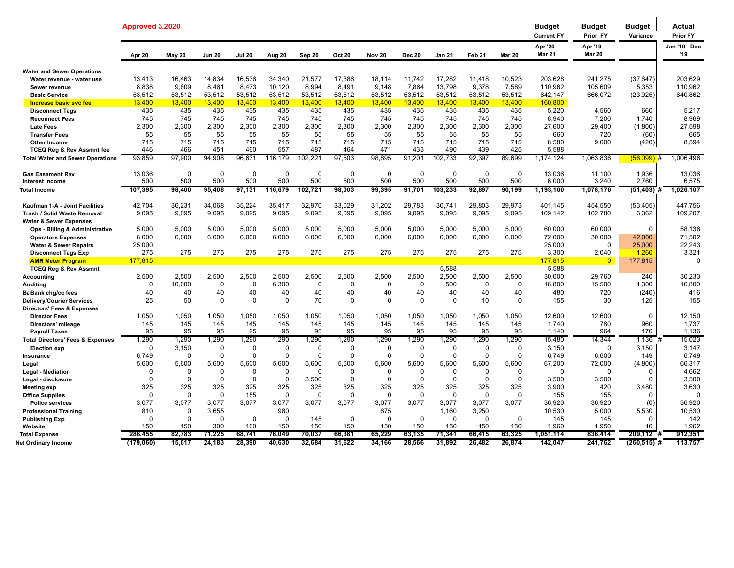|                                                                           | Approved 3.2020      |                         |                            |                            |                 |                   |                            |                         |                            |                      |                      |                  | <b>Budget</b><br><b>Current FY</b> | <b>Budget</b><br>Prior FY  | <b>Budget</b><br>Variance | Actual<br>Prior FY   |
|---------------------------------------------------------------------------|----------------------|-------------------------|----------------------------|----------------------------|-----------------|-------------------|----------------------------|-------------------------|----------------------------|----------------------|----------------------|------------------|------------------------------------|----------------------------|---------------------------|----------------------|
|                                                                           | Apr 20               | <b>May 20</b>           | <b>Jun 20</b>              | <b>Jul 20</b>              | Aug 20          | Sep 20            | <b>Oct 20</b>              | <b>Nov 20</b>           | <b>Dec 20</b>              | Jan 21               | Feb <sub>21</sub>    | <b>Mar 20</b>    | Apr '20 -<br><b>Mar 21</b>         | Apr '19 -<br><b>Mar 20</b> |                           | Jan '19 - Dec<br>'19 |
| <b>Water and Sewer Operations</b>                                         |                      |                         |                            |                            |                 |                   |                            |                         |                            |                      |                      |                  |                                    |                            |                           |                      |
| Water revenue - water use                                                 | 13,413               | 16,463                  | 14,834                     | 16,536                     | 34,340          | 21,577            | 17,386                     | 18,114                  | 11.742                     | 17,282               | 11,418               | 10,523           | 203,628                            | 241,275                    | (37, 647)                 | 203,629              |
| Sewer revenue                                                             | 8,838                | 9,809                   | 8.461                      | 8,473                      | 10.120          | 8,994             | 8.491                      | 9.148                   | 7,864                      | 13,798               | 9,378                | 7,589            | 110,962                            | 105,609                    | 5,353                     | 110,962              |
| <b>Basic Service</b>                                                      | 53,512               | 53,512                  | 53.512                     | 53,512                     | 53,512          | 53,512            | 53.512                     | 53,512                  | 53,512                     | 53,512               | 53,512               | 53,512           | 642,147                            | 666,072                    | (23, 925)                 | 640,862              |
| Increase basic svc fee                                                    | 13,400<br>435        | 13,400<br>435           | 13,400<br>435              | 13,400<br>435              | 13,400<br>435   | 13,400<br>435     | 13,400<br>435              | 13,400<br>435           | 13,400<br>435              | 13,400<br>435        | 13,400<br>435        | 13,400<br>435    | 160,800<br>5,220                   | 4,560                      | 660                       | 5,217                |
| <b>Disconnect Tags</b><br><b>Reconnect Fees</b>                           | 745                  | 745                     | 745                        | 745                        | 745             | 745               | 745                        | 745                     | 745                        | 745                  | 745                  | 745              | 8.940                              | 7,200                      | 1.740                     | 8,969                |
| <b>Late Fees</b>                                                          | 2,300                | 2,300                   | 2,300                      | 2,300                      | 2,300           | 2,300             | 2,300                      | 2,300                   | 2,300                      | 2,300                | 2,300                | 2,300            | 27,600                             | 29,400                     | (1,800)                   | 27,598               |
| <b>Transfer Fees</b>                                                      | 55                   | 55                      | 55                         | 55                         | 55              | 55                | 55                         | 55                      | 55                         | 55                   | 55                   | 55               | 660                                | 720                        | (60)                      | 665                  |
| <b>Other Income</b>                                                       | 715                  | 715                     | 715                        | 715                        | 715             | 715               | 715                        | 715                     | 715                        | 715                  | 715                  | 715              | 8.580                              | 9,000                      | (420)                     | 8,594                |
| <b>TCEQ Reg &amp; Rev Assmnt fee</b>                                      | 446                  | 466                     | 451                        | 460                        | 557             | 487               | 464                        | 471                     | 433                        | 490                  | 439                  | 425              | 5,588                              |                            |                           |                      |
| <b>Total Water and Sewer Operations</b>                                   | 93,859               | 97,900                  | 94,908                     | 96,631                     | 116,179         | 102,221           | 97,503                     | 98,895                  | 91,201                     | 102,733              | 92,397               | 89,699           | 1,174,124                          | 1,063,836                  | $(56,099)$ #              | 1,006,496            |
| <b>Gas Easement Rev</b><br>Interest income                                | 13,036<br>500        | $\Omega$<br>500         | $\Omega$<br>500            | $\Omega$<br>500            | $\Omega$<br>500 | $\Omega$<br>500   | $\Omega$<br>500            | $\Omega$<br>500         | $\Omega$<br>500            | $\Omega$<br>500      | $\mathbf{0}$<br>500  | $\Omega$<br>500  | 13,036<br>6,000                    | 11,100<br>3,240            | 1,936<br>2,760            | 13,036<br>6,575      |
| <b>Total Income</b>                                                       | 107,395              | 98,400                  | 95,408                     | 97,131                     | 116,679         | 102,721           | 98,003                     | 99,395                  | 91,701                     | 103,233              | 92,897               | 90,199           | 1,193,160                          | 1,078,176                  | $(51, 403)$ #             | 1,026,107            |
|                                                                           |                      |                         |                            |                            |                 |                   |                            |                         |                            |                      |                      |                  |                                    |                            |                           |                      |
| Kaufman 1-A - Joint Facilities                                            | 42,704               | 36,231                  | 34,068                     | 35,224                     | 35,417          | 32,970            | 33,029                     | 31,202                  | 29,783                     | 30,741               | 29,803               | 29,973           | 401,145                            | 454,550                    | (53, 405)                 | 447,756              |
| Trash / Solid Waste Removal                                               | 9,095                | 9,095                   | 9,095                      | 9,095                      | 9,095           | 9,095             | 9,095                      | 9,095                   | 9,095                      | 9,095                | 9,095                | 9,095            | 109,142                            | 102,780                    | 6,362                     | 109,207              |
| <b>Water &amp; Sewer Expenses</b>                                         |                      |                         |                            |                            | 5.000           |                   |                            |                         |                            | 5.000                |                      |                  |                                    |                            | $\Omega$                  |                      |
| Ops - Billing & Administrative<br><b>Operators Expenses</b>               | 5,000<br>6,000       | 5,000<br>6,000          | 5,000<br>6.000             | 5,000<br>6,000             | 6.000           | 5,000<br>6,000    | 5,000<br>6,000             | 5,000<br>6,000          | 5,000<br>6,000             | 6,000                | 5,000<br>6,000       | 5,000<br>6,000   | 60,000<br>72.000                   | 60.000<br>30,000           | 42,000                    | 58,136<br>71,502     |
| <b>Water &amp; Sewer Repairs</b>                                          | 25,000               |                         |                            |                            |                 |                   |                            |                         |                            |                      |                      |                  | 25,000                             | $\Omega$                   | 25,000                    | 22,243               |
| <b>Disconnect Tags Exp</b>                                                | 275                  | 275                     | 275                        | 275                        | 275             | 275               | 275                        | 275                     | 275                        | 275                  | 275                  | 275              | 3,300                              | 2,040                      | 1,260                     | 3,321                |
| <b>AMR Meter Program</b>                                                  | 177,815              |                         |                            |                            |                 |                   |                            |                         |                            |                      |                      |                  | 177,815                            | $\overline{0}$             | 177,815                   | $\Omega$             |
| <b>TCEQ Reg &amp; Rev Assmnt</b>                                          |                      |                         |                            |                            |                 |                   |                            |                         |                            | 5,588                |                      |                  | 5,588                              |                            |                           |                      |
| <b>Accounting</b>                                                         | 2,500                | 2,500                   | 2,500                      | 2,500                      | 2,500           | 2,500             | 2,500                      | 2,500                   | 2,500                      | 2,500                | 2,500                | 2,500            | 30,000                             | 29,760                     | 240                       | 30,233               |
| <b>Auditing</b>                                                           | $\Omega$             | 10,000                  | $\mathbf 0$                | $\mathbf 0$                | 6,300           | $\mathbf 0$       | $\mathbf 0$                | $\mathbf 0$             | $\mathbf 0$                | 500                  | 0                    | 0                | 16,800                             | 15,500                     | 1,300                     | 16,800               |
| Ba Bank chg/cc fees                                                       | 40                   | 40                      | 40                         | 40                         | 40              | 40                | 40                         | 40<br>$\Omega$          | 40                         | 40<br>$\Omega$       | 40                   | 40               | 480                                | 720                        | (240)                     | 416                  |
| <b>Delivery/Courier Services</b><br><b>Directors' Fees &amp; Expenses</b> | 25                   | 50                      | $\Omega$                   | $\Omega$                   | $\Omega$        | 70                | $\Omega$                   |                         | $\Omega$                   |                      | 10                   | $\Omega$         | 155                                | 30                         | 125                       | 155                  |
| <b>Director Fees</b>                                                      | 1,050                | 1,050                   | 1,050                      | 1,050                      | 1.050           | 1.050             | 1.050                      | 1,050                   | 1,050                      | 1,050                | 1,050                | 1.050            | 12.600                             | 12,600                     | $\Omega$                  | 12,150               |
| Directors' mileage                                                        | 145                  | 145                     | 145                        | 145                        | 145             | 145               | 145                        | 145                     | 145                        | 145                  | 145                  | 145              | 1.740                              | 780                        | 960                       | 1.737                |
| <b>Payroll Taxes</b>                                                      | 95                   | 95                      | 95                         | 95                         | 95              | 95                | 95                         | 95                      | 95                         | 95                   | 95                   | 95               | 1,140                              | 964                        | 176                       | 1,136                |
| <b>Total Directors' Fees &amp; Expenses</b>                               | 1,290                | 1,290                   | 1,290                      | 1,290                      | 1,290           | 1,290             | 1,290                      | 1,290                   | 1,290                      | 1,290                | 1,290                | 1,290            | 15,480                             | 14,344                     | 1,136                     | 15,023<br>#          |
| <b>Election exp</b>                                                       | $\Omega$             | 3,150                   | $\mathbf 0$                | $\mathbf 0$                | $\Omega$        | $\Omega$          | $\mathbf 0$                | $\mathbf 0$             | $\mathbf 0$                | $\Omega$             | $\Omega$             | $\mathbf 0$      | 3,150                              | $\Omega$                   | 3,150                     | 3,147                |
| Insurance                                                                 | 6,749                | $\mathbf{0}$            | $\mathbf 0$                | $\mathbf 0$                | $\mathbf 0$     | 0                 | $\mathbf 0$                | $\Omega$                | $\Omega$                   | $\Omega$             | $\mathbf 0$          | $\Omega$         | 6,749                              | 6,600                      | 149                       | 6,749                |
| Legal                                                                     | 5,600                | 5,600                   | 5,600                      | 5,600                      | 5,600           | 5,600             | 5,600                      | 5,600                   | 5,600                      | 5,600                | 5,600                | 5,600            | 67,200                             | 72,000                     | (4,800)                   | 66,317               |
| Legal - Mediation                                                         | $\Omega$<br>$\Omega$ | $\mathbf 0$<br>$\Omega$ | $\mathbf 0$<br>$\mathbf 0$ | $\mathbf 0$<br>$\mathbf 0$ | 0<br>$\Omega$   | $\Omega$<br>3,500 | $\mathbf 0$<br>$\mathbf 0$ | $\mathbf 0$<br>$\Omega$ | $\mathbf 0$<br>$\mathbf 0$ | $\Omega$<br>$\Omega$ | $\Omega$<br>$\Omega$ | 0<br>$\mathbf 0$ | $\Omega$                           | $\Omega$                   | $\Omega$<br>$\Omega$      | 4,662<br>3,500       |
| Legal - disclosure<br><b>Meeting exp</b>                                  | 325                  | 325                     | 325                        | 325                        | 325             | 325               | 325                        | 325                     | 325                        | 325                  | 325                  | 325              | 3,500<br>3,900                     | 3,500<br>420               | 3,480                     | 3,630                |
| <b>Office Supplies</b>                                                    | $\Omega$             | $\Omega$                | $\mathbf 0$                | 155                        | $\Omega$        | $\Omega$          | $\Omega$                   | $\Omega$                | $\Omega$                   | $\Omega$             | $\Omega$             | $\Omega$         | 155                                | 155                        | $\Omega$                  | $\Omega$             |
| <b>Police services</b>                                                    | 3,077                | 3,077                   | 3,077                      | 3,077                      | 3.077           | 3,077             | 3,077                      | 3.077                   | 3.077                      | 3.077                | 3,077                | 3,077            | 36.920                             | 36,920                     | (0)                       | 36,920               |
| <b>Professional Training</b>                                              | 810                  | $\mathbf{0}$            | 3,655                      |                            | 980             |                   |                            | 675                     |                            | 1,160                | 3,250                |                  | 10,530                             | 5,000                      | 5,530                     | 10,530               |
| <b>Publishing Exp</b>                                                     | $\Omega$             | $\Omega$                | $\Omega$                   | $\Omega$                   | $\Omega$        | 145               | $\mathbf 0$                | $\Omega$                | $\Omega$                   | $\Omega$             | $\Omega$             | $\Omega$         | 145                                | 145                        | $\Omega$                  | 142                  |
| Website                                                                   | 150                  | 150                     | 300                        | 160                        | 150             | 150               | 150                        | 150                     | 150                        | 150                  | 150                  | 150              | 1,960                              | 1,950                      | 10                        | 1,962                |
| <b>Total Expense</b>                                                      | 286,455              | 82,783                  | 71,225                     | 68,741                     | 76,049          | 70,037            | 66,381                     | 65,229                  | 63,135                     | 71,341               | 66,415               | 63,325           | 1,051,114                          | 836,414                    | 209,112                   | 912,351              |
| <b>Net Ordinary Income</b>                                                | (179,060)            | 15,617                  | 24,183                     | 28,390                     | 40,630          | 32,684            | 31,622                     | 34,166                  | 28,566                     | 31,892               | 26,482               | 26,874           | 142,047                            | 241,762                    | $(260, 515)$ #            | 113,757              |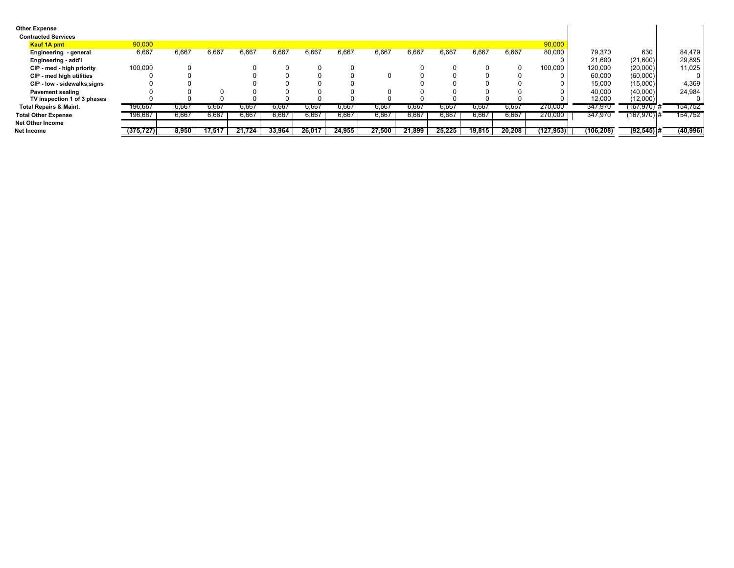| <b>Other Expense</b><br><b>Contracted Services</b> |            |       |        |        |        |        |        |        |        |        |        |        |            |            |               |           |
|----------------------------------------------------|------------|-------|--------|--------|--------|--------|--------|--------|--------|--------|--------|--------|------------|------------|---------------|-----------|
| <b>Kauf 1A pmt</b>                                 | 90,000     |       |        |        |        |        |        |        |        |        |        |        | 90,000     |            |               |           |
| Engineering - general                              | 6,667      | 6,667 | 6,667  | 6,667  | 6,667  | 6,667  | 6,667  | 6,667  | 6,667  | 6,667  | 6,667  | 6,667  | 80,000     | 79,370     | 630           | 84,479    |
| Engineering - add'l                                |            |       |        |        |        |        |        |        |        |        |        |        |            | 21.600     | (21,600)      | 29,895    |
| CIP - med - high priority                          | 100,000    |       |        |        |        |        |        |        |        |        |        |        | 100,000    | 120,000    | (20,000)      | 11,025    |
| CIP - med high utilities                           |            |       |        |        |        |        |        |        |        |        |        |        |            | 60,000     | (60,000)      |           |
| CIP - low - sidewalks, signs                       |            |       |        |        |        |        |        |        |        |        |        |        |            | 15,000     | (15,000)      | 4,369     |
| <b>Pavement sealing</b>                            |            |       |        |        |        |        |        |        |        |        |        |        |            | 40,000     | (40,000)      | 24,984    |
| TV inspection 1 of 3 phases                        |            |       |        |        |        |        |        |        |        |        |        |        |            | 12,000     | (12,000)      |           |
| <b>Total Repairs &amp; Maint.</b>                  | 196.667    | 6,667 | 6.667  | 6.667  | o.bb   | 6,667  | 6.667  | 6,667  | 6.667  | 5.667  | 6.66   | 6.667  | 270.000    | 347,970    | (167,970)#    | 154,752   |
| <b>Total Other Expense</b>                         | 196,667    | 6,667 | 6,667  | 6,667  | 6,667  | 6,667  | 6,667  | 6,667  | 6,667  | 6.667  | 6,667  | 6,667  | 270,000    | 347,970    | (167,970) #   | 154,752   |
| <b>Net Other Income</b>                            |            |       |        |        |        |        |        |        |        |        |        |        |            |            |               |           |
| Net Income                                         | (375, 727) | 8,950 | 17.51. | 21.724 | 33.964 | 26.017 | 24,955 | 27,500 | 21.899 | 25.225 | 19,815 | 20,208 | (127, 953) | (106, 208) | $(92, 545)$ # | (40, 996) |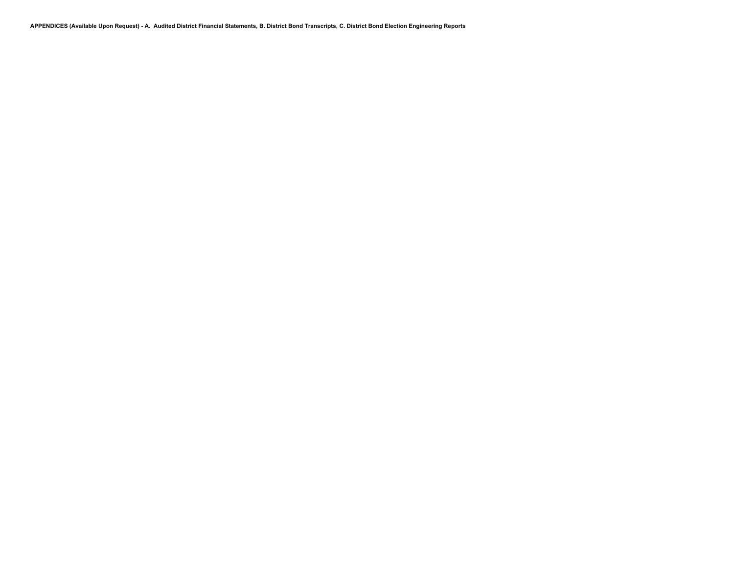**APPENDICES (Available Upon Request) - A. Audited District Financial Statements, B. District Bond Transcripts, C. District Bond Election Engineering Reports**